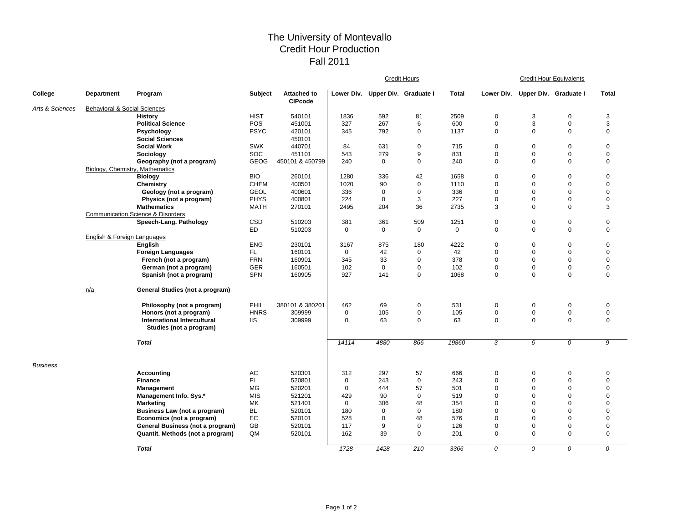## The University of Montevallo Credit Hour Production Fall 2011

|                 |                                 |                                                                        |             |                                      |              | <b>Credit Hours</b>              |             |              |                | <b>Credit Hour Equivalents</b>   |             |                |  |  |
|-----------------|---------------------------------|------------------------------------------------------------------------|-------------|--------------------------------------|--------------|----------------------------------|-------------|--------------|----------------|----------------------------------|-------------|----------------|--|--|
| College         | Department                      | Program                                                                | Subject     | <b>Attached to</b><br><b>CIPcode</b> |              | Lower Div. Upper Div. Graduate I |             | <b>Total</b> |                | Lower Div. Upper Div. Graduate I |             | <b>Total</b>   |  |  |
| Arts & Sciences | Behavioral & Social Sciences    |                                                                        |             |                                      |              |                                  |             |              |                |                                  |             |                |  |  |
|                 |                                 | <b>History</b>                                                         | <b>HIST</b> | 540101                               | 1836         | 592                              | 81          | 2509         | 0              | 3                                | $\mathbf 0$ | 3              |  |  |
|                 |                                 | <b>Political Science</b>                                               | POS         | 451001                               | 327          | 267                              | 6           | 600          | $\mathbf 0$    | 3                                | $\mathbf 0$ | 3              |  |  |
|                 |                                 | Psychology                                                             | <b>PSYC</b> | 420101                               | 345          | 792                              | 0           | 1137         | 0              | $\mathbf 0$                      | $\mathbf 0$ | $\mathbf 0$    |  |  |
|                 |                                 | <b>Social Sciences</b>                                                 |             | 450101                               |              |                                  |             |              |                |                                  |             |                |  |  |
|                 |                                 | <b>Social Work</b>                                                     | <b>SWK</b>  | 440701                               | 84           | 631                              | 0           | 715          | 0              | $\mathbf 0$                      | $\mathbf 0$ | $\mathbf 0$    |  |  |
|                 |                                 | Sociology                                                              | SOC         | 451101                               | 543          | 279                              | 9           | 831          | 0              | $\mathsf 0$                      | $\mathbf 0$ | $\mathbf 0$    |  |  |
|                 |                                 | Geography (not a program)                                              | <b>GEOG</b> | 450101 & 450799                      | 240          | 0                                | $\mathbf 0$ | 240          | $\mathbf 0$    | $\mathbf 0$                      | $\mathbf 0$ | $\mathbf 0$    |  |  |
|                 | Biology, Chemistry, Mathematics |                                                                        |             |                                      |              |                                  |             |              |                |                                  |             |                |  |  |
|                 |                                 | <b>Biology</b>                                                         | <b>BIO</b>  | 260101                               | 1280         | 336                              | 42          | 1658         | $\mathbf 0$    | $\mathbf 0$                      | $\mathbf 0$ | $\mathbf 0$    |  |  |
|                 |                                 | Chemistry                                                              | <b>CHEM</b> | 400501                               | 1020         | 90                               | $\mathbf 0$ | 1110         | $\mathbf 0$    | $\mathbf 0$                      | $\mathbf 0$ | $\mathbf 0$    |  |  |
|                 |                                 | Geology (not a program)                                                | <b>GEOL</b> | 400601                               | 336          | 0                                | $\mathbf 0$ | 336          | $\mathbf 0$    | $\mathbf 0$                      | $\mathbf 0$ | $\mathbf 0$    |  |  |
|                 |                                 | Physics (not a program)                                                | <b>PHYS</b> | 400801                               | 224          | 0                                | 3           | 227          | 0              | $\mathbf 0$                      | $\mathbf 0$ | $\mathbf 0$    |  |  |
|                 |                                 | <b>Mathematics</b>                                                     | MATH        | 270101                               | 2495         | 204                              | 36          | 2735         | 3              | $\mathbf 0$                      | $\mathbf 0$ | 3              |  |  |
|                 |                                 | <b>Communication Science &amp; Disorders</b><br>Speech-Lang. Pathology | CSD         | 510203                               | 381          | 361                              | 509         | 1251         | 0              | $\mathbf 0$                      | $\mathbf 0$ | $\mathbf 0$    |  |  |
|                 |                                 |                                                                        | <b>ED</b>   | 510203                               | $\mathbf 0$  | $\mathbf 0$                      | 0           | $\mathbf 0$  | 0              | $\pmb{0}$                        | $\mathbf 0$ | $\mathbf 0$    |  |  |
|                 | English & Foreign Languages     |                                                                        |             |                                      |              |                                  |             |              |                |                                  |             |                |  |  |
|                 |                                 | English                                                                | <b>ENG</b>  | 230101                               | 3167         | 875                              | 180         | 4222         | 0              | $\mathbf 0$                      | $\mathbf 0$ | $\mathbf 0$    |  |  |
|                 |                                 | <b>Foreign Languages</b>                                               | FL.         | 160101                               | $\mathbf{0}$ | 42                               | $\mathbf 0$ | 42           | $\mathbf 0$    | $\mathsf 0$                      | $\mathbf 0$ | $\mathbf 0$    |  |  |
|                 |                                 | French (not a program)                                                 | <b>FRN</b>  | 160901                               | 345          | 33                               | $\mathbf 0$ | 378          | 0              | $\mathbf 0$                      | $\mathbf 0$ | $\mathbf 0$    |  |  |
|                 |                                 | German (not a program)                                                 | <b>GER</b>  | 160501                               | 102          | $\mathbf 0$                      | $\mathbf 0$ | 102          | 0              | $\mathsf 0$                      | $\mathbf 0$ | $\mathbf 0$    |  |  |
|                 |                                 | Spanish (not a program)                                                | SPN         | 160905                               | 927          | 141                              | $\pmb{0}$   | 1068         | $\mathbf 0$    | $\mathbf 0$                      | $\mathbf 0$ | $\mathbf 0$    |  |  |
|                 |                                 |                                                                        |             |                                      |              |                                  |             |              |                |                                  |             |                |  |  |
|                 | n/a                             | General Studies (not a program)                                        |             |                                      |              |                                  |             |              |                |                                  |             |                |  |  |
|                 |                                 | Philosophy (not a program)                                             | PHIL        | 380101 & 380201                      | 462          | 69                               | $\pmb{0}$   | 531          | 0              | $\mathbf 0$                      | $\mathbf 0$ | $\mathbf 0$    |  |  |
|                 |                                 | Honors (not a program)                                                 | <b>HNRS</b> | 309999                               | $\mathbf 0$  | 105                              | $\pmb{0}$   | 105          | 0              | $\boldsymbol{0}$                 | $\mathbf 0$ | $\mathbf 0$    |  |  |
|                 |                                 | International Intercultural                                            | <b>IIS</b>  | 309999                               | $\mathbf 0$  | 63                               | $\mathbf 0$ | 63           | 0              | $\mathsf 0$                      | $\mathbf 0$ | $\mathbf 0$    |  |  |
|                 |                                 | Studies (not a program)                                                |             |                                      |              |                                  |             |              |                |                                  |             |                |  |  |
|                 |                                 | <b>Total</b>                                                           |             |                                      | 14114        | 4880                             | 866         | 19860        | 3              | 6                                | 0           | 9              |  |  |
| <b>Business</b> |                                 |                                                                        |             |                                      |              |                                  |             |              |                |                                  |             |                |  |  |
|                 |                                 | <b>Accounting</b>                                                      | AC          | 520301                               | 312          | 297                              | 57          | 666          | 0              | $\mathbf 0$                      | $\pmb{0}$   | $\mathbf 0$    |  |  |
|                 |                                 | <b>Finance</b>                                                         | FI.         | 520801                               | $\mathbf{0}$ | 243                              | $\mathbf 0$ | 243          | $\mathbf 0$    | $\mathbf 0$                      | $\mathbf 0$ | $\mathbf 0$    |  |  |
|                 |                                 | Management                                                             | МG          | 520201                               | $\mathbf 0$  | 444                              | 57          | 501          | $\mathbf 0$    | $\mathbf 0$                      | $\mathbf 0$ | $\mathbf 0$    |  |  |
|                 |                                 | Management Info. Sys.*                                                 | <b>MIS</b>  | 521201                               | 429          | 90                               | $\mathbf 0$ | 519          | $\mathbf 0$    | $\mathbf 0$                      | $\mathbf 0$ | $\mathbf 0$    |  |  |
|                 |                                 | <b>Marketing</b>                                                       | МK          | 521401                               | $\mathbf{0}$ | 306                              | 48          | 354          | $\mathbf 0$    | $\mathbf 0$                      | $\mathbf 0$ | $\mathbf 0$    |  |  |
|                 |                                 | Business Law (not a program)                                           | BL          | 520101                               | 180          | $\mathbf 0$                      | 0           | 180          | $\mathbf 0$    | $\mathbf 0$                      | $\mathbf 0$ | $\mathbf 0$    |  |  |
|                 |                                 | Economics (not a program)                                              | EC          | 520101                               | 528          | $\mathbf 0$                      | 48          | 576          | $\mathbf 0$    | $\mathbf 0$                      | $\mathbf 0$ | $\mathbf 0$    |  |  |
|                 |                                 | General Business (not a program)                                       | GB          | 520101                               | 117          | 9                                | 0           | 126          | $\mathbf 0$    | $\mathbf 0$                      | $\mathbf 0$ | $\mathbf 0$    |  |  |
|                 |                                 | Quantit. Methods (not a program)                                       | QM          | 520101                               | 162          | 39                               | $\mathbf 0$ | 201          | 0              | $\mathsf 0$                      | $\mathbf 0$ | $\mathbf 0$    |  |  |
|                 |                                 | <b>Total</b>                                                           |             |                                      | 1728         | 1428                             | 210         | 3366         | $\overline{o}$ | 0                                | 0           | $\overline{0}$ |  |  |